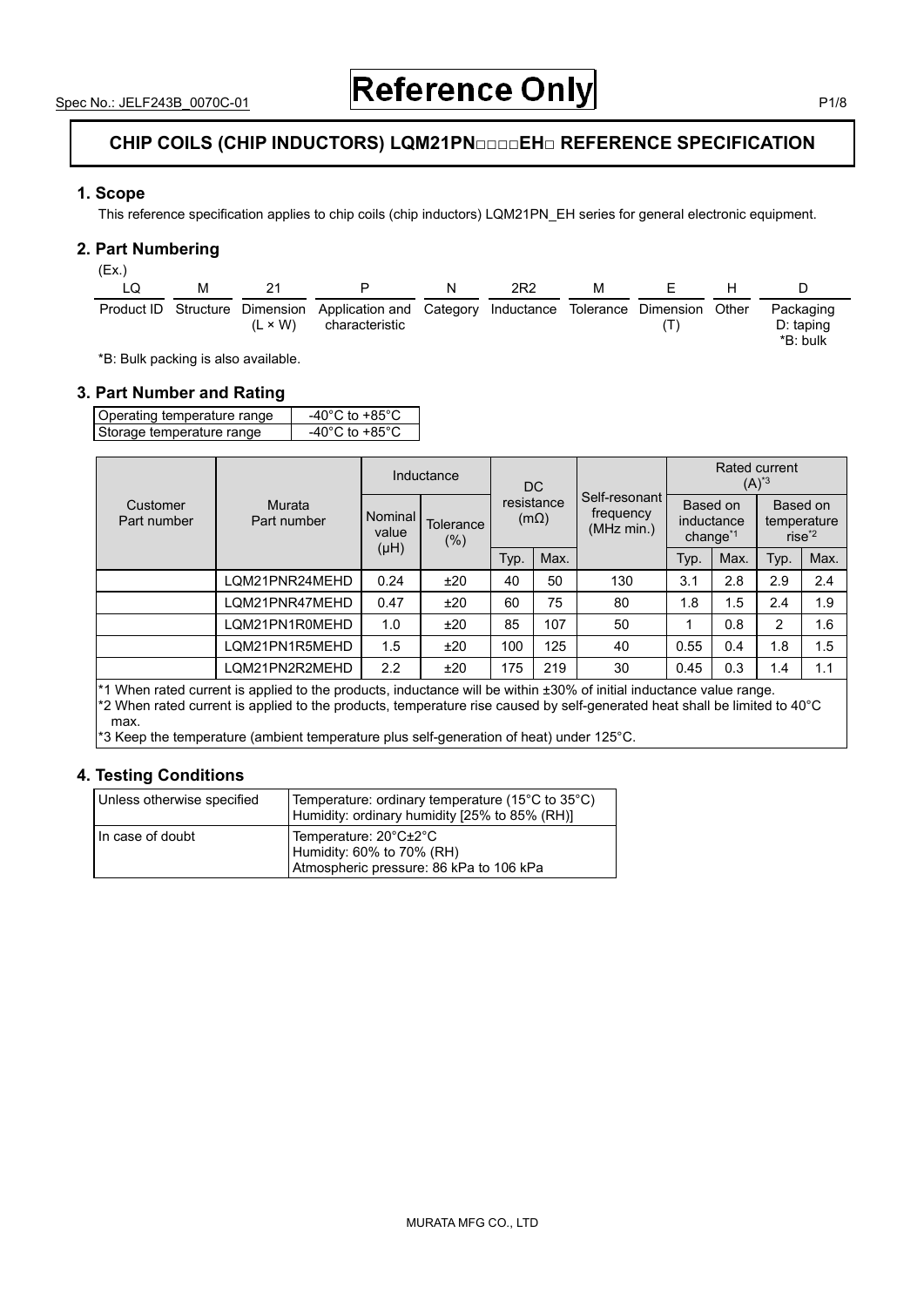### **CHIP COILS (CHIP INDUCTORS) LQM21PN□□□□EH□ REFERENCE SPECIFICATION**

#### **1. Scope**

This reference specification applies to chip coils (chip inductors) LQM21PN\_EH series for general electronic equipment.

#### **2. Part Numbering**

| (Ex.) |   |                |                                                                                                                |                 |   |                |    |                                      |
|-------|---|----------------|----------------------------------------------------------------------------------------------------------------|-----------------|---|----------------|----|--------------------------------------|
|       | м | -21            |                                                                                                                | 2R <sub>2</sub> | M | $\blacksquare$ | н. |                                      |
|       |   | $(L \times W)$ | Product ID Structure Dimension Application and Category Inductance Tolerance Dimension Other<br>characteristic |                 |   |                |    | Packaging<br>$D:$ taping<br>*B: bulk |

\*B: Bulk packing is also available.

#### **3. Part Number and Rating**

| Operating temperature range | -40 $^{\circ}$ C to +85 $^{\circ}$ C |
|-----------------------------|--------------------------------------|
| Storage temperature range   | -40°C to +85°C                       |

|                         |                                                                                                                                                                                                                                               |                  | Inductance          |                           | DC.  |                                          | Rated current<br>$(A)^*$ <sup>3</sup> |      |                                               |      |
|-------------------------|-----------------------------------------------------------------------------------------------------------------------------------------------------------------------------------------------------------------------------------------------|------------------|---------------------|---------------------------|------|------------------------------------------|---------------------------------------|------|-----------------------------------------------|------|
| Customer<br>Part number | Murata<br>Part number                                                                                                                                                                                                                         | Nominal<br>value | Tolerance<br>$(\%)$ | resistance<br>$(m\Omega)$ |      | Self-resonant<br>frequency<br>(MHz min.) | Based on<br>inductance<br>change $1$  |      | Based on<br>temperature<br>$rise^{\text{*2}}$ |      |
|                         |                                                                                                                                                                                                                                               | (HH)             |                     | Typ.                      | Max. |                                          | Typ.                                  | Max. | Typ.                                          | Max. |
|                         | LQM21PNR24MEHD                                                                                                                                                                                                                                | 0.24             | ±20                 | 40                        | 50   | 130                                      | 3.1                                   | 2.8  | 2.9                                           | 2.4  |
|                         | LQM21PNR47MEHD                                                                                                                                                                                                                                | 0.47             | ±20                 | 60                        | 75   | 80                                       | 1.8                                   | 1.5  | 2.4                                           | 1.9  |
|                         | LOM21PN1R0MEHD                                                                                                                                                                                                                                | 1.0              | ±20                 | 85                        | 107  | 50                                       |                                       | 0.8  | $\overline{2}$                                | 1.6  |
|                         | LQM21PN1R5MEHD                                                                                                                                                                                                                                | 1.5              | ±20                 | 100                       | 125  | 40                                       | 0.55                                  | 0.4  | 1.8                                           | 1.5  |
|                         | LOM21PN2R2MEHD                                                                                                                                                                                                                                | 2.2              | ±20                 | 175                       | 219  | 30                                       | 0.45                                  | 0.3  | 1.4                                           | 1.1  |
|                         | $*1$ When rated current is applied to the products, inductance will be within $\pm 30\%$ of initial inductance value range.<br>ה המחינות ונותן ונותן ונותן ונותן ונותן ונותן ונותן ונותן ונותן ונותן ונותן ונותן ונותן ונותן ונותן ונותן ונות |                  |                     |                           |      |                                          |                                       |      |                                               |      |

\*2 When rated current is applied to the products, temperature rise caused by self-generated heat shall be limited to 40°C max.

\*3 Keep the temperature (ambient temperature plus self-generation of heat) under 125°C.

#### **4. Testing Conditions**

| Unless otherwise specified | Temperature: ordinary temperature (15°C to 35°C)<br>Humidity: ordinary humidity [25% to 85% (RH)] |
|----------------------------|---------------------------------------------------------------------------------------------------|
| l In case of doubt         | Temperature: 20°C±2°C<br>Humidity: 60% to 70% (RH)<br>Atmospheric pressure: 86 kPa to 106 kPa     |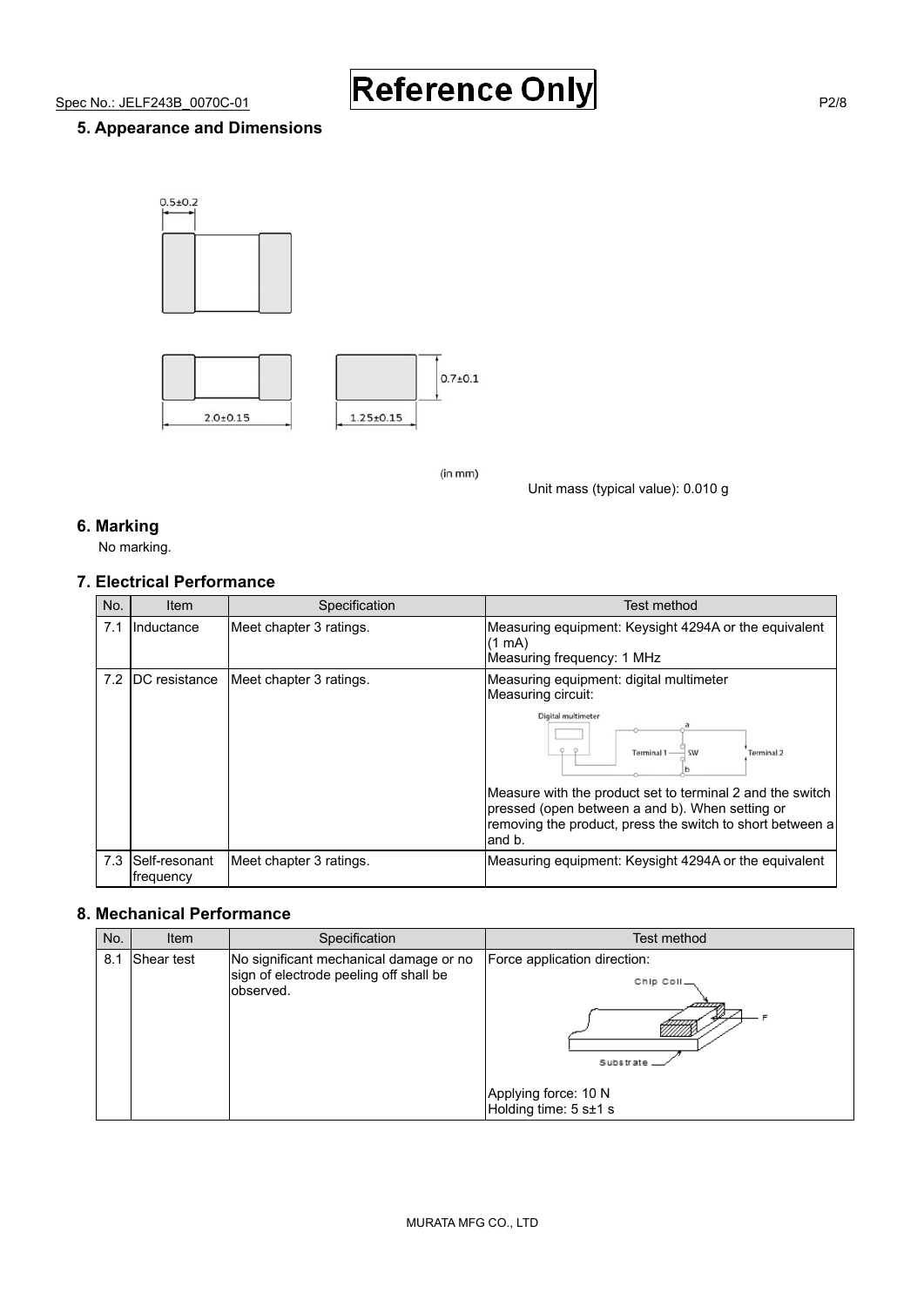# Spec No.: JELF243B\_0070C-01 **Reference Only**

#### **5. Appearance and Dimensions**





 $(in m<sub>m</sub>)$ 

Unit mass (typical value): 0.010 g

#### **6. Marking**

No marking.

#### **7. Electrical Performance**

| No. | ltem                           | Specification           | Test method                                                                                                                                                                                                                                                                                                                |
|-----|--------------------------------|-------------------------|----------------------------------------------------------------------------------------------------------------------------------------------------------------------------------------------------------------------------------------------------------------------------------------------------------------------------|
| 7.1 | <b>Inductance</b>              | Meet chapter 3 ratings. | Measuring equipment: Keysight 4294A or the equivalent<br>$(1 \text{ mA})$<br>Measuring frequency: 1 MHz                                                                                                                                                                                                                    |
|     | 7.2 IDC resistance             | Meet chapter 3 ratings. | Measuring equipment: digital multimeter<br>Measuring circuit:<br>Digital multimeter<br><b>SW</b><br><b>Terminal 2</b><br>Terminal 1<br>Measure with the product set to terminal 2 and the switch<br>pressed (open between a and b). When setting or<br>removing the product, press the switch to short between a<br>and b. |
|     | 7.3 Self-resonant<br>frequency | Meet chapter 3 ratings. | Measuring equipment: Keysight 4294A or the equivalent                                                                                                                                                                                                                                                                      |

#### **8. Mechanical Performance**

| No. | Item              | Specification                                                                                 | Test method                                                                                              |
|-----|-------------------|-----------------------------------------------------------------------------------------------|----------------------------------------------------------------------------------------------------------|
| 8.1 | <b>Shear test</b> | No significant mechanical damage or no<br>sign of electrode peeling off shall be<br>observed. | Force application direction:<br>Chip Coll_<br>Substrate<br>Applying force: 10 N<br>Holding time: 5 s±1 s |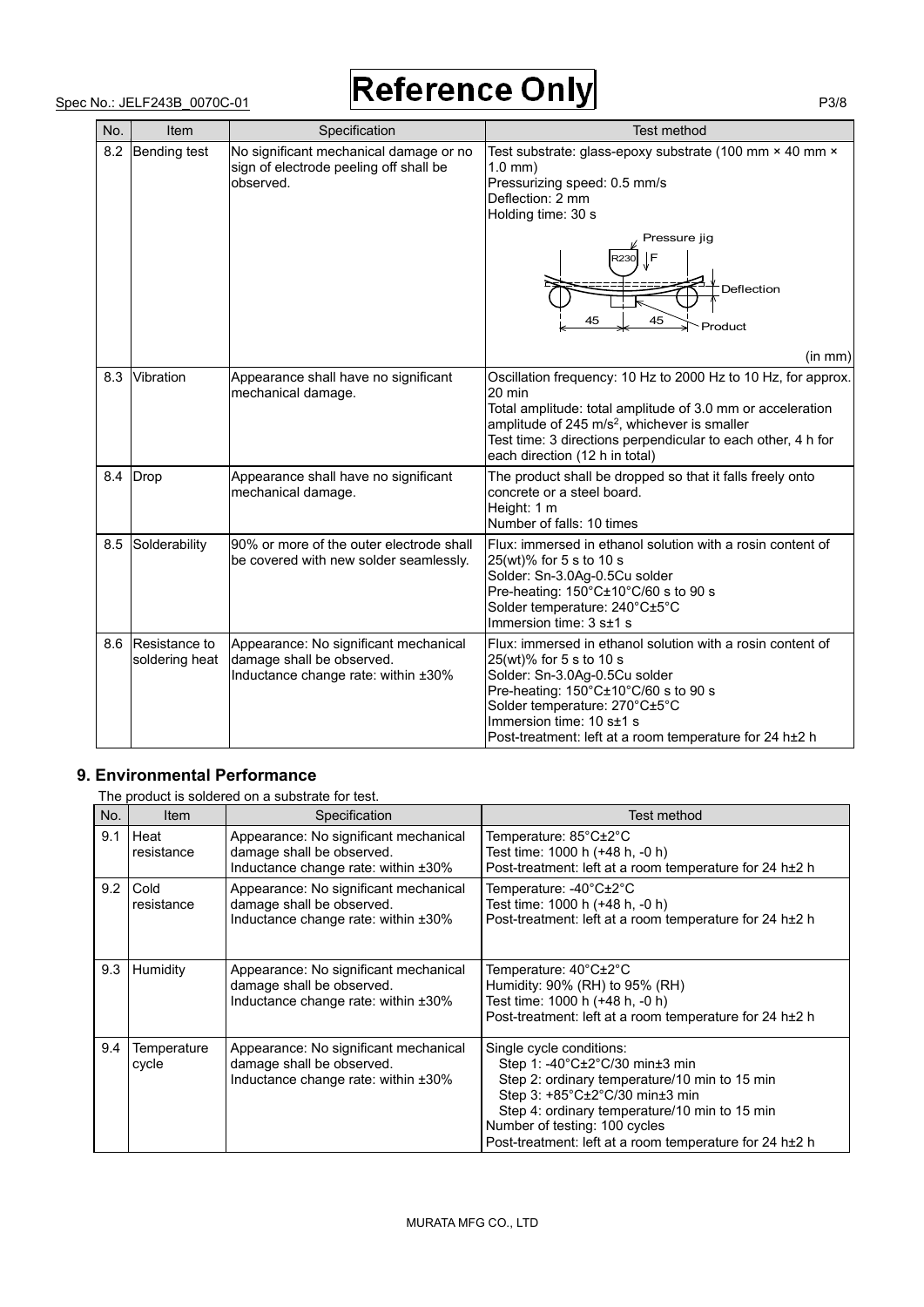## Spec No.: JELF243B\_0070C-01 **Reference Only** P3/8

| No. | Item                            | Specification                                                                                             | Test method                                                                                                                                                                                                                                                                                         |
|-----|---------------------------------|-----------------------------------------------------------------------------------------------------------|-----------------------------------------------------------------------------------------------------------------------------------------------------------------------------------------------------------------------------------------------------------------------------------------------------|
| 8.2 | Bending test                    | No significant mechanical damage or no<br>sign of electrode peeling off shall be<br>observed.             | Test substrate: glass-epoxy substrate (100 mm × 40 mm ×<br>$1.0$ mm $)$<br>Pressurizing speed: 0.5 mm/s<br>Deflection: 2 mm<br>Holding time: 30 s                                                                                                                                                   |
|     |                                 |                                                                                                           | Pressure jig<br>l F<br>२२३०<br>Deflection<br>45<br>45<br>Product                                                                                                                                                                                                                                    |
|     |                                 |                                                                                                           | (in mm)                                                                                                                                                                                                                                                                                             |
| 8.3 | Vibration                       | Appearance shall have no significant<br>mechanical damage.                                                | Oscillation frequency: 10 Hz to 2000 Hz to 10 Hz, for approx.<br>20 min<br>Total amplitude: total amplitude of 3.0 mm or acceleration<br>amplitude of 245 m/s <sup>2</sup> , whichever is smaller<br>Test time: 3 directions perpendicular to each other, 4 h for<br>each direction (12 h in total) |
|     | 8.4 Drop                        | Appearance shall have no significant<br>mechanical damage.                                                | The product shall be dropped so that it falls freely onto<br>concrete or a steel board.<br>Height: 1 m<br>Number of falls: 10 times                                                                                                                                                                 |
| 8.5 | Solderability                   | 90% or more of the outer electrode shall<br>be covered with new solder seamlessly.                        | Flux: immersed in ethanol solution with a rosin content of<br>25(wt)% for 5 s to 10 s<br>Solder: Sn-3.0Ag-0.5Cu solder<br>Pre-heating: 150°C±10°C/60 s to 90 s<br>Solder temperature: 240°C±5°C<br>Immersion time: 3 s±1 s                                                                          |
| 8.6 | Resistance to<br>soldering heat | Appearance: No significant mechanical<br>damage shall be observed.<br>Inductance change rate: within ±30% | Flux: immersed in ethanol solution with a rosin content of<br>25(wt)% for 5 s to 10 s<br>Solder: Sn-3.0Ag-0.5Cu solder<br>Pre-heating: 150°C±10°C/60 s to 90 s<br>Solder temperature: 270°C±5°C<br>Immersion time: 10 s±1 s<br>Post-treatment: left at a room temperature for 24 h±2 h              |

#### **9. Environmental Performance**

The product is soldered on a substrate for test.

| No. | Item                      | Specification                                                                                             | Test method                                                                                                                                                                                                                                                                                |
|-----|---------------------------|-----------------------------------------------------------------------------------------------------------|--------------------------------------------------------------------------------------------------------------------------------------------------------------------------------------------------------------------------------------------------------------------------------------------|
| 9.1 | <b>Heat</b><br>resistance | Appearance: No significant mechanical<br>damage shall be observed.<br>Inductance change rate: within ±30% | Temperature: $85^{\circ}$ C $\pm$ 2 $^{\circ}$ C<br>Test time: 1000 h (+48 h, -0 h)<br>Post-treatment: left at a room temperature for 24 h±2 h                                                                                                                                             |
| 9.2 | l Cold<br>resistance      | Appearance: No significant mechanical<br>damage shall be observed.<br>Inductance change rate: within ±30% | Temperature: $-40^{\circ}$ C $\pm$ 2 $^{\circ}$ C<br>Test time: 1000 h (+48 h, -0 h)<br>Post-treatment: left at a room temperature for 24 h±2 h                                                                                                                                            |
| 9.3 | <b>Humidity</b>           | Appearance: No significant mechanical<br>damage shall be observed.<br>Inductance change rate: within ±30% | Temperature: $40^{\circ}$ C $\pm$ 2 $^{\circ}$ C<br>Humidity: 90% (RH) to 95% (RH)<br>Test time: 1000 h (+48 h, -0 h)<br>Post-treatment: left at a room temperature for 24 h±2 h                                                                                                           |
| 9.4 | Temperature<br>cycle      | Appearance: No significant mechanical<br>damage shall be observed.<br>Inductance change rate: within ±30% | Single cycle conditions:<br>Step 1: -40°C±2°C/30 min±3 min<br>Step 2: ordinary temperature/10 min to 15 min<br>Step 3: +85°C±2°C/30 min±3 min<br>Step 4: ordinary temperature/10 min to 15 min<br>Number of testing: 100 cycles<br>Post-treatment: left at a room temperature for 24 h±2 h |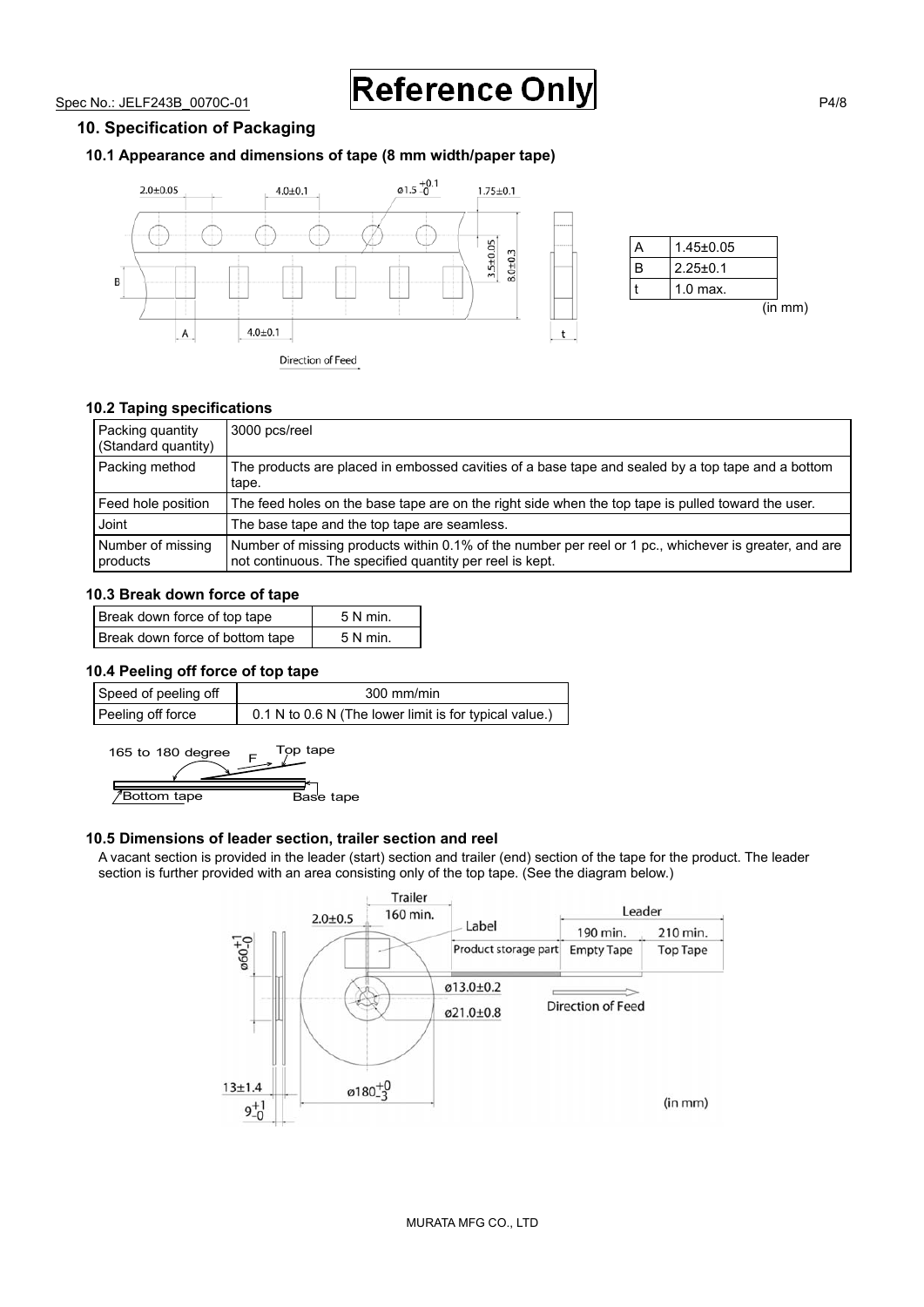Spec No.: JELF243B\_0070C-01 **Reference Only** 

#### **10. Specification of Packaging**

#### **10.1 Appearance and dimensions of tape (8 mm width/paper tape)**



|   | $1.45 \pm 0.05$ |         |
|---|-----------------|---------|
| R | $2.25 \pm 0.1$  |         |
|   | $1.0$ max.      |         |
|   |                 | (in mm) |

#### **10.2 Taping specifications**

| Packing quantity<br>(Standard quantity) | 3000 pcs/reel                                                                                                                                                     |
|-----------------------------------------|-------------------------------------------------------------------------------------------------------------------------------------------------------------------|
| Packing method                          | The products are placed in embossed cavities of a base tape and sealed by a top tape and a bottom<br>tape.                                                        |
| Feed hole position                      | The feed holes on the base tape are on the right side when the top tape is pulled toward the user.                                                                |
| Joint                                   | The base tape and the top tape are seamless.                                                                                                                      |
| Number of missing<br>products           | Number of missing products within 0.1% of the number per reel or 1 pc., whichever is greater, and are<br>not continuous. The specified quantity per reel is kept. |

#### **10.3 Break down force of tape**

| Break down force of top tape    | 5 N min. |
|---------------------------------|----------|
| Break down force of bottom tape | 5 N min. |

#### **10.4 Peeling off force of top tape**

| Speed of peeling off | $300 \text{ mm/min}$                                   |
|----------------------|--------------------------------------------------------|
| Peeling off force    | 0.1 N to 0.6 N (The lower limit is for typical value.) |

165 to 180 degree  $F^{\text{Top}}$  tape **Bottom tape**<br>
Base tape

#### **10.5 Dimensions of leader section, trailer section and reel**

A vacant section is provided in the leader (start) section and trailer (end) section of the tape for the product. The leader section is further provided with an area consisting only of the top tape. (See the diagram below.)

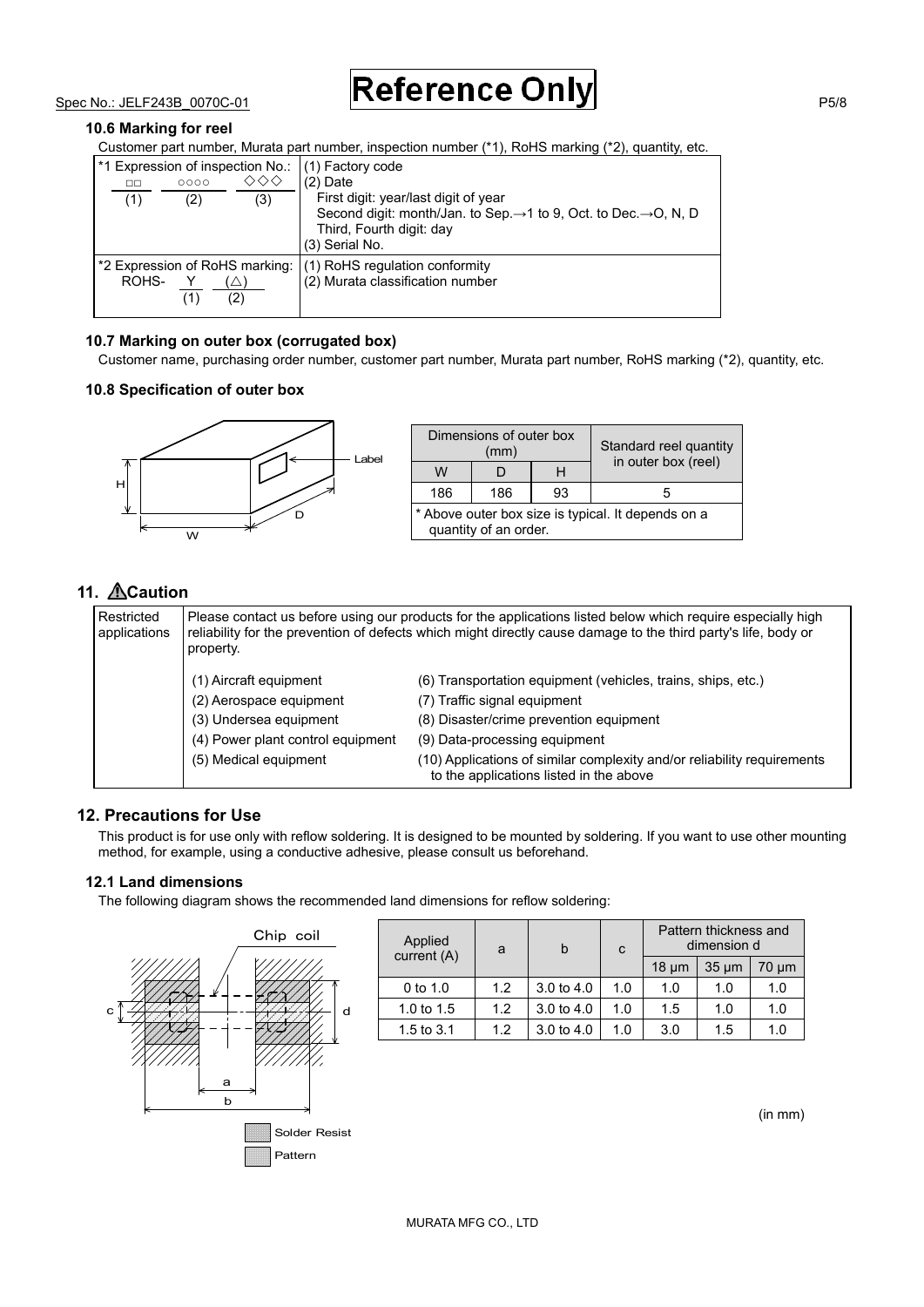$Spec No.: JELF243B$  0070C-01 **Reference Only** 

#### **10.6 Marking for reel**

Customer part number, Murata part number, inspection number (\*1), RoHS marking (\*2), quantity, etc.

| ᄆ<br>(1) | 0000<br>(2) | ◇◇◇<br>(3)        | *1 Expression of inspection No.: (1) Factory code<br>$(2)$ Date<br>First digit: year/last digit of year<br>Second digit: month/Jan. to Sep. $\rightarrow$ 1 to 9, Oct. to Dec. $\rightarrow$ O, N, D<br>Third, Fourth digit: day<br>(3) Serial No. |
|----------|-------------|-------------------|----------------------------------------------------------------------------------------------------------------------------------------------------------------------------------------------------------------------------------------------------|
| ROHS-    |             | $\left( 2\right)$ | *2 Expression of RoHS marking: (1) RoHS regulation conformity<br>(2) Murata classification number                                                                                                                                                  |

#### **10.7 Marking on outer box (corrugated box)**

Customer name, purchasing order number, customer part number, Murata part number, RoHS marking (\*2), quantity, etc.

#### **10.8 Specification of outer box**



|                                                                             | Dimensions of outer box<br>(mm) | Standard reel quantity<br>in outer box (reel) |  |  |
|-----------------------------------------------------------------------------|---------------------------------|-----------------------------------------------|--|--|
| W                                                                           |                                 |                                               |  |  |
| 93<br>186<br>186                                                            |                                 | h                                             |  |  |
| * Above outer box size is typical. It depends on a<br>quantity of an order. |                                 |                                               |  |  |

#### 11. **ACaution**

| Restricted<br>applications | Please contact us before using our products for the applications listed below which require especially high<br>reliability for the prevention of defects which might directly cause damage to the third party's life, body or<br>property. |                                                                                                                    |  |  |
|----------------------------|--------------------------------------------------------------------------------------------------------------------------------------------------------------------------------------------------------------------------------------------|--------------------------------------------------------------------------------------------------------------------|--|--|
|                            | (1) Aircraft equipment                                                                                                                                                                                                                     | (6) Transportation equipment (vehicles, trains, ships, etc.)                                                       |  |  |
|                            | (2) Aerospace equipment                                                                                                                                                                                                                    | (7) Traffic signal equipment                                                                                       |  |  |
|                            | (3) Undersea equipment                                                                                                                                                                                                                     | (8) Disaster/crime prevention equipment                                                                            |  |  |
|                            | (4) Power plant control equipment                                                                                                                                                                                                          | (9) Data-processing equipment                                                                                      |  |  |
|                            | (5) Medical equipment                                                                                                                                                                                                                      | (10) Applications of similar complexity and/or reliability requirements<br>to the applications listed in the above |  |  |

#### **12. Precautions for Use**

This product is for use only with reflow soldering. It is designed to be mounted by soldering. If you want to use other mounting method, for example, using a conductive adhesive, please consult us beforehand.

#### **12.1 Land dimensions**

The following diagram shows the recommended land dimensions for reflow soldering:



| Applied<br>a<br>current (A) |     | b                     | C   | Pattern thickness and<br>dimension d |            |            |
|-----------------------------|-----|-----------------------|-----|--------------------------------------|------------|------------|
|                             |     |                       |     | $18 \mu m$                           | $35 \mu m$ | $70 \mu m$ |
| 0 to $1.0$                  | 1.2 | $3.0 \text{ to } 4.0$ | 1.0 | 1.0                                  | 1.0        | 1.0        |
| 1.0 to $1.5$                | 1.2 | $3.0 \text{ to } 4.0$ | 1.0 | 1.5                                  | 1.0        | 1.0        |
| 1.5 to $3.1$                | 12  | $3.0 \text{ to } 4.0$ | 1.0 | 3.0                                  | 1.5        | 1.0        |

(in mm)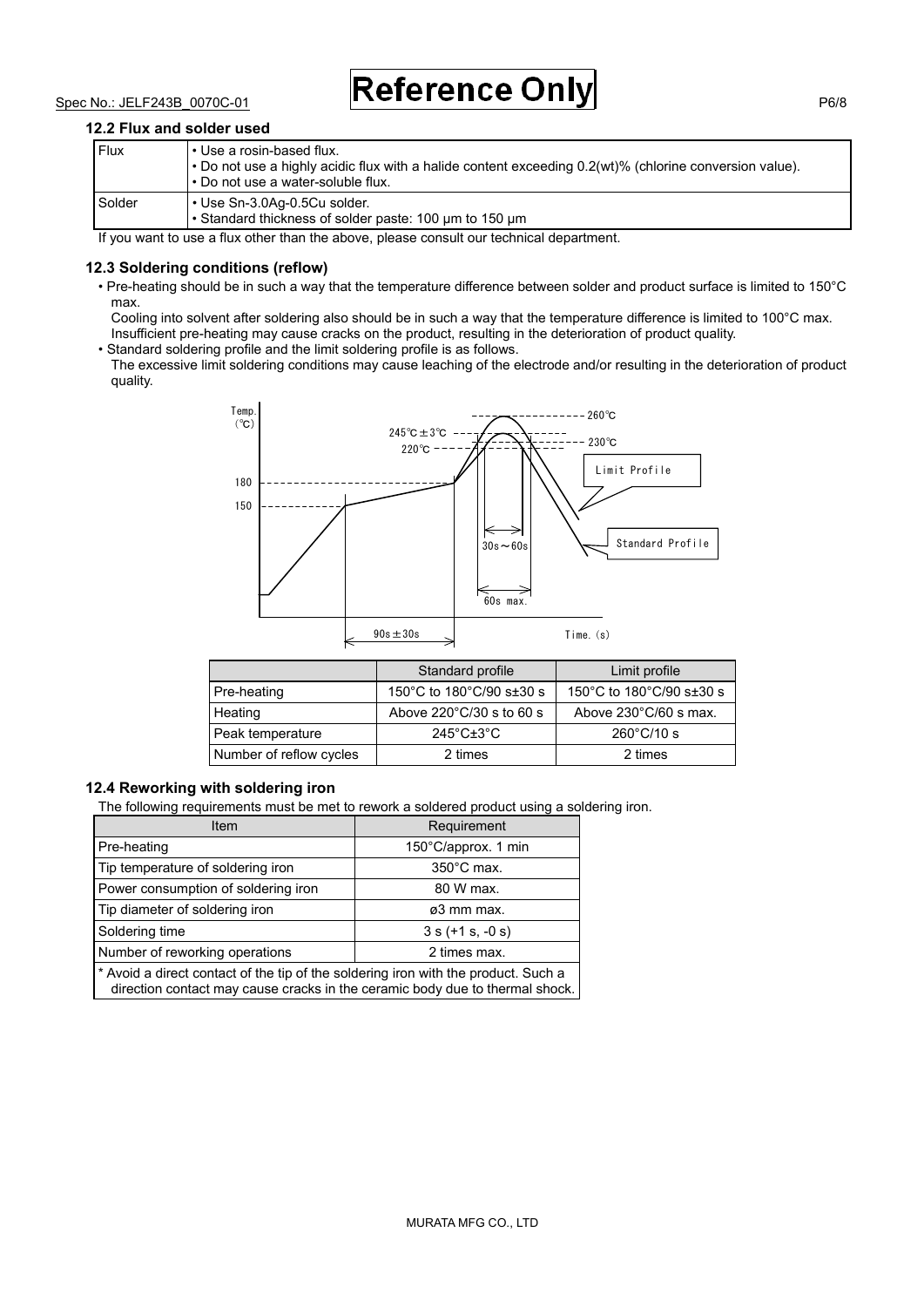$Spec No.: JELF243B 0070C-01$  Reference Only

#### **12.2 Flux and solder used**

| Flux   | l • Use a rosin-based flux.<br>$\cdot$ Do not use a highly acidic flux with a halide content exceeding 0.2(wt)% (chlorine conversion value).<br>. Do not use a water-soluble flux. |
|--------|------------------------------------------------------------------------------------------------------------------------------------------------------------------------------------|
| Solder | l • Use Sn-3.0Aq-0.5Cu solder.<br>• Standard thickness of solder paste: 100 um to 150 um                                                                                           |

If you want to use a flux other than the above, please consult our technical department.

#### **12.3 Soldering conditions (reflow)**

• Pre-heating should be in such a way that the temperature difference between solder and product surface is limited to 150°C max.

Cooling into solvent after soldering also should be in such a way that the temperature difference is limited to 100°C max. Insufficient pre-heating may cause cracks on the product, resulting in the deterioration of product quality.

• Standard soldering profile and the limit soldering profile is as follows.

The excessive limit soldering conditions may cause leaching of the electrode and/or resulting in the deterioration of product quality.



|                         | Standard profile                     | Limit profile                   |  |
|-------------------------|--------------------------------------|---------------------------------|--|
| Pre-heating             | 150°C to 180°C/90 s±30 s             | 150°C to 180°C/90 s $\pm$ 30 s  |  |
| Heating                 | Above $220^{\circ}$ C/30 s to 60 s   | Above $230^{\circ}$ C/60 s max. |  |
| Peak temperature        | $245^{\circ}$ C $\pm$ 3 $^{\circ}$ C | $260^{\circ}$ C/10 s            |  |
| Number of reflow cycles | 2 times                              | 2 times                         |  |

#### **12.4 Reworking with soldering iron**

The following requirements must be met to rework a soldered product using a soldering iron.

| <b>Item</b>                                                                       | Requirement          |  |
|-----------------------------------------------------------------------------------|----------------------|--|
| Pre-heating                                                                       | 150°C/approx. 1 min  |  |
| Tip temperature of soldering iron                                                 | $350^{\circ}$ C max. |  |
| Power consumption of soldering iron                                               | 80 W max.            |  |
| Tip diameter of soldering iron                                                    | ø3 mm max.           |  |
| Soldering time                                                                    | $3 s (+1 s, -0 s)$   |  |
| Number of reworking operations                                                    | 2 times max.         |  |
| * Avoid a direct contact of the tip of the soldering iron with the product Such a |                      |  |

oldering iron with the pr direction contact may cause cracks in the ceramic body due to thermal shock.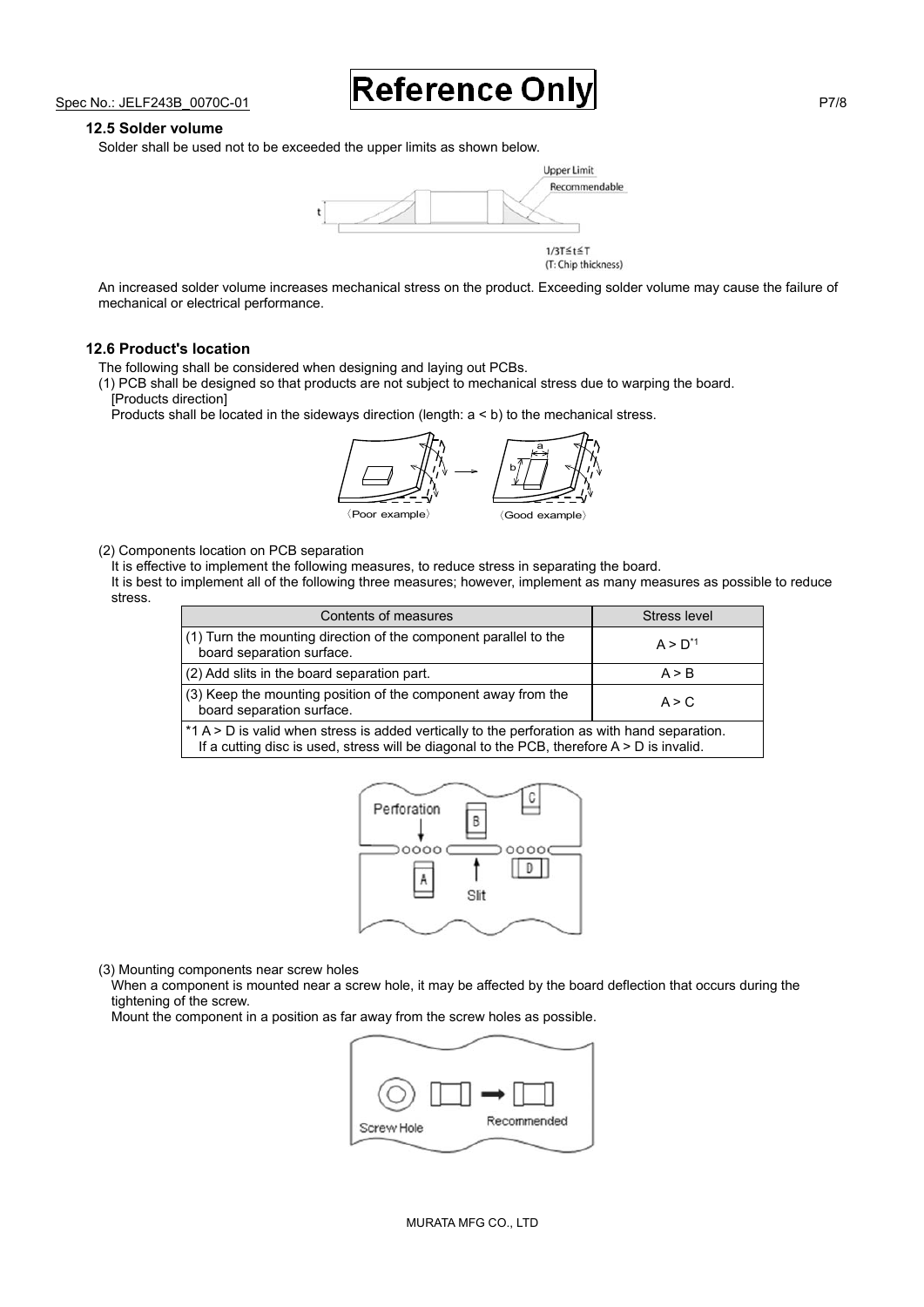Spec No.: JELF243B\_0070C-01 **Reference Only** 

#### **12.5 Solder volume**

Solder shall be used not to be exceeded the upper limits as shown below.



An increased solder volume increases mechanical stress on the product. Exceeding solder volume may cause the failure of mechanical or electrical performance.

#### **12.6 Product's location**

The following shall be considered when designing and laying out PCBs.

(1) PCB shall be designed so that products are not subject to mechanical stress due to warping the board. [Products direction]

Products shall be located in the sideways direction (length: a < b) to the mechanical stress.



(2) Components location on PCB separation

It is effective to implement the following measures, to reduce stress in separating the board.

It is best to implement all of the following three measures; however, implement as many measures as possible to reduce stress.

Stress level

| Contents of measures                                                                          | Stress le         |
|-----------------------------------------------------------------------------------------------|-------------------|
| (1) Turn the mounting direction of the component parallel to the<br>board separation surface. | $A > D^{\dagger}$ |
| (2) Add slits in the board separation part.                                                   | A > R             |
| (3) Keep the mounting position of the component away from the                                 |                   |

board separation surface.<br>board separation surface. \*1 A > D is valid when stress is added vertically to the perforation as with hand separation. If a cutting disc is used, stress will be diagonal to the PCB, therefore  $A > D$  is invalid.



(3) Mounting components near screw holes

When a component is mounted near a screw hole, it may be affected by the board deflection that occurs during the tightening of the screw.

Mount the component in a position as far away from the screw holes as possible.